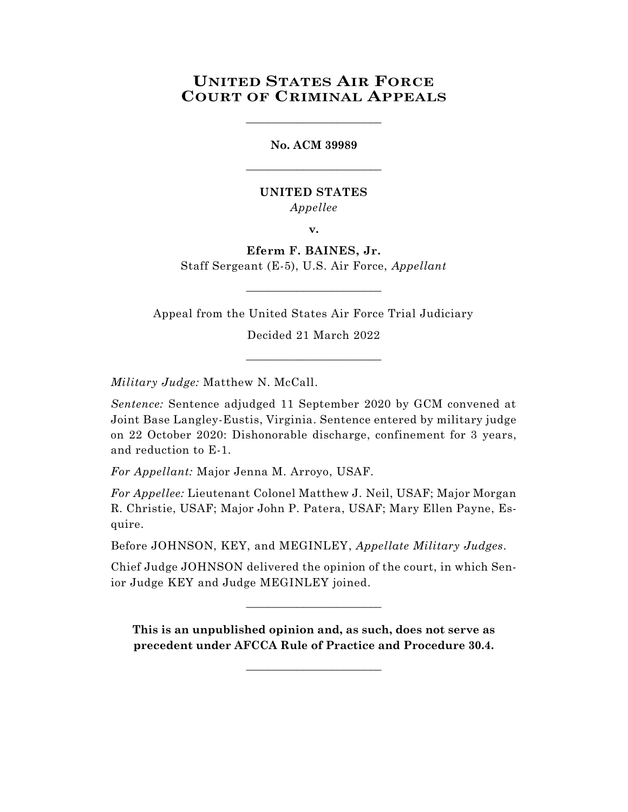# **UNITED STATES AIR FORCE COURT OF CRIMINAL APPEALS**

\_\_\_\_\_\_\_\_\_\_\_\_\_\_\_\_\_\_\_\_\_\_\_\_

**No. ACM 39989** \_\_\_\_\_\_\_\_\_\_\_\_\_\_\_\_\_\_\_\_\_\_\_\_

### **UNITED STATES** *Appellee*

**v.**

**Eferm F. BAINES, Jr.** Staff Sergeant (E-5), U.S. Air Force, *Appellant*

Appeal from the United States Air Force Trial Judiciary

 $\_$ 

Decided 21 March 2022

\_\_\_\_\_\_\_\_\_\_\_\_\_\_\_\_\_\_\_\_\_\_\_\_

*Military Judge:* Matthew N. McCall.

*Sentence:* Sentence adjudged 11 September 2020 by GCM convened at Joint Base Langley-Eustis, Virginia. Sentence entered by military judge on 22 October 2020: Dishonorable discharge, confinement for 3 years, and reduction to E-1.

*For Appellant:* Major Jenna M. Arroyo, USAF.

*For Appellee:* Lieutenant Colonel Matthew J. Neil, USAF; Major Morgan R. Christie, USAF; Major John P. Patera, USAF; Mary Ellen Payne, Esquire.

Before JOHNSON, KEY, and MEGINLEY, *Appellate Military Judges.*

Chief Judge JOHNSON delivered the opinion of the court, in which Senior Judge KEY and Judge MEGINLEY joined.

 $\_$ 

**This is an unpublished opinion and, as such, does not serve as precedent under AFCCA Rule of Practice and Procedure 30.4.**

 $\_$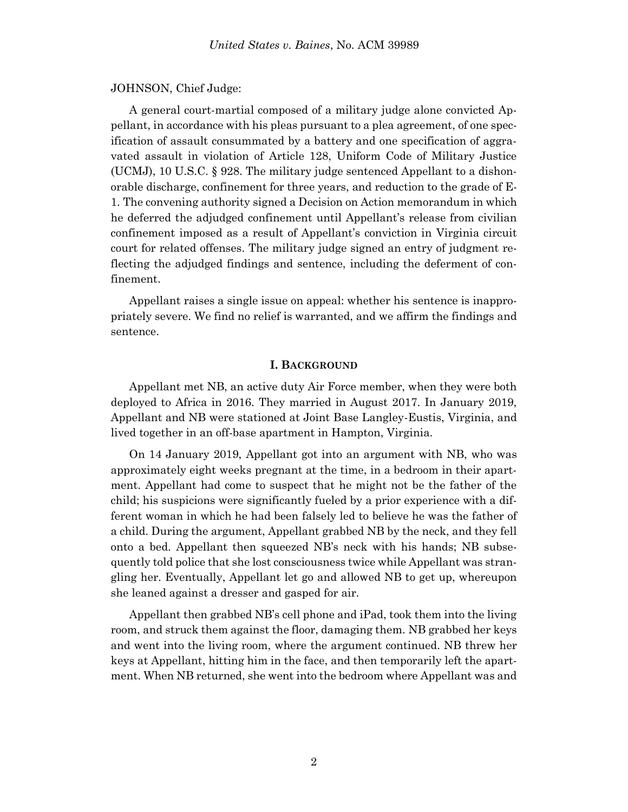#### JOHNSON, Chief Judge:

A general court-martial composed of a military judge alone convicted Appellant, in accordance with his pleas pursuant to a plea agreement, of one specification of assault consummated by a battery and one specification of aggravated assault in violation of Article 128, Uniform Code of Military Justice (UCMJ), 10 U.S.C. § 928. The military judge sentenced Appellant to a dishonorable discharge, confinement for three years, and reduction to the grade of E-1. The convening authority signed a Decision on Action memorandum in which he deferred the adjudged confinement until Appellant's release from civilian confinement imposed as a result of Appellant's conviction in Virginia circuit court for related offenses. The military judge signed an entry of judgment reflecting the adjudged findings and sentence, including the deferment of confinement.

Appellant raises a single issue on appeal: whether his sentence is inappropriately severe. We find no relief is warranted, and we affirm the findings and sentence.

#### **I. BACKGROUND**

Appellant met NB, an active duty Air Force member, when they were both deployed to Africa in 2016. They married in August 2017. In January 2019, Appellant and NB were stationed at Joint Base Langley-Eustis, Virginia, and lived together in an off-base apartment in Hampton, Virginia.

On 14 January 2019, Appellant got into an argument with NB, who was approximately eight weeks pregnant at the time, in a bedroom in their apartment. Appellant had come to suspect that he might not be the father of the child; his suspicions were significantly fueled by a prior experience with a different woman in which he had been falsely led to believe he was the father of a child. During the argument, Appellant grabbed NB by the neck, and they fell onto a bed. Appellant then squeezed NB's neck with his hands; NB subsequently told police that she lost consciousness twice while Appellant was strangling her. Eventually, Appellant let go and allowed NB to get up, whereupon she leaned against a dresser and gasped for air.

Appellant then grabbed NB's cell phone and iPad, took them into the living room, and struck them against the floor, damaging them. NB grabbed her keys and went into the living room, where the argument continued. NB threw her keys at Appellant, hitting him in the face, and then temporarily left the apartment. When NB returned, she went into the bedroom where Appellant was and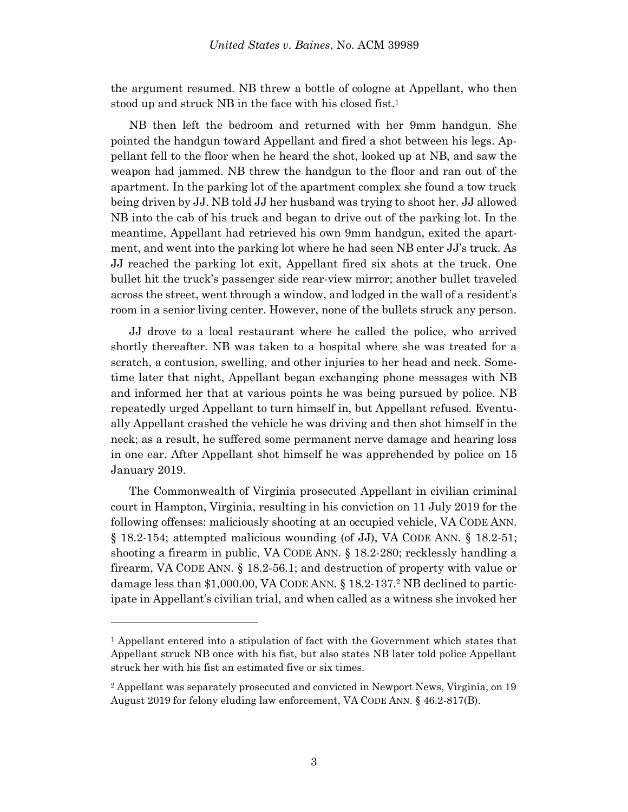the argument resumed. NB threw a bottle of cologne at Appellant, who then stood up and struck NB in the face with his closed fist.<sup>1</sup>

NB then left the bedroom and returned with her 9mm handgun. She pointed the handgun toward Appellant and fired a shot between his legs. Appellant fell to the floor when he heard the shot, looked up at NB, and saw the weapon had jammed. NB threw the handgun to the floor and ran out of the apartment. In the parking lot of the apartment complex she found a tow truck being driven by JJ. NB told JJ her husband was trying to shoot her. JJ allowed NB into the cab of his truck and began to drive out of the parking lot. In the meantime, Appellant had retrieved his own 9mm handgun, exited the apartment, and went into the parking lot where he had seen NB enter JJ's truck. As JJ reached the parking lot exit, Appellant fired six shots at the truck. One bullet hit the truck's passenger side rear-view mirror; another bullet traveled across the street, went through a window, and lodged in the wall of a resident's room in a senior living center. However, none of the bullets struck any person.

JJ drove to a local restaurant where he called the police, who arrived shortly thereafter. NB was taken to a hospital where she was treated for a scratch, a contusion, swelling, and other injuries to her head and neck. Sometime later that night, Appellant began exchanging phone messages with NB and informed her that at various points he was being pursued by police. NB repeatedly urged Appellant to turn himself in, but Appellant refused. Eventually Appellant crashed the vehicle he was driving and then shot himself in the neck; as a result, he suffered some permanent nerve damage and hearing loss in one ear. After Appellant shot himself he was apprehended by police on 15 January 2019.

The Commonwealth of Virginia prosecuted Appellant in civilian criminal court in Hampton, Virginia, resulting in his conviction on 11 July 2019 for the following offenses: maliciously shooting at an occupied vehicle, VA CODE ANN. § 18.2-154; attempted malicious wounding (of JJ), VA CODE ANN. § 18.2-51; shooting a firearm in public, VA CODE ANN. § 18.2-280; recklessly handling a firearm, VA CODE ANN. § 18.2-56.1; and destruction of property with value or damage less than \$1,000.00, VA CODE ANN. § 18.2-137. <sup>2</sup> NB declined to participate in Appellant's civilian trial, and when called as a witness she invoked her

l

<sup>1</sup> Appellant entered into a stipulation of fact with the Government which states that Appellant struck NB once with his fist, but also states NB later told police Appellant struck her with his fist an estimated five or six times.

<sup>2</sup> Appellant was separately prosecuted and convicted in Newport News, Virginia, on 19 August 2019 for felony eluding law enforcement, VA CODE ANN. § 46.2-817(B).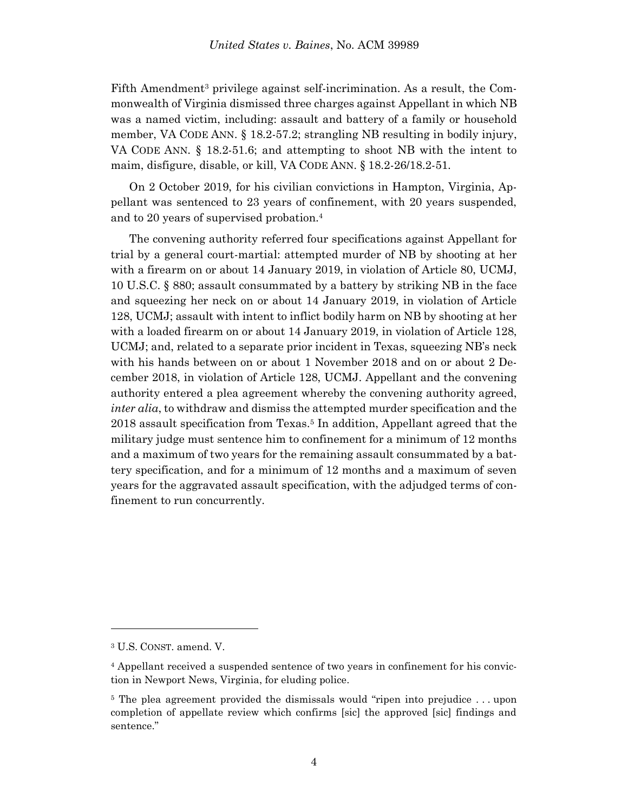Fifth Amendment<sup>3</sup> privilege against self-incrimination. As a result, the Commonwealth of Virginia dismissed three charges against Appellant in which NB was a named victim, including: assault and battery of a family or household member, VA CODE ANN. § 18.2-57.2; strangling NB resulting in bodily injury, VA CODE ANN. § 18.2-51.6; and attempting to shoot NB with the intent to maim, disfigure, disable, or kill, VA CODE ANN. § 18.2-26/18.2-51.

On 2 October 2019, for his civilian convictions in Hampton, Virginia, Appellant was sentenced to 23 years of confinement, with 20 years suspended, and to 20 years of supervised probation.<sup>4</sup>

The convening authority referred four specifications against Appellant for trial by a general court-martial: attempted murder of NB by shooting at her with a firearm on or about 14 January 2019, in violation of Article 80, UCMJ, 10 U.S.C. § 880; assault consummated by a battery by striking NB in the face and squeezing her neck on or about 14 January 2019, in violation of Article 128, UCMJ; assault with intent to inflict bodily harm on NB by shooting at her with a loaded firearm on or about 14 January 2019, in violation of Article 128, UCMJ; and, related to a separate prior incident in Texas, squeezing NB's neck with his hands between on or about 1 November 2018 and on or about 2 December 2018, in violation of Article 128, UCMJ. Appellant and the convening authority entered a plea agreement whereby the convening authority agreed, *inter alia*, to withdraw and dismiss the attempted murder specification and the 2018 assault specification from Texas.<sup>5</sup> In addition, Appellant agreed that the military judge must sentence him to confinement for a minimum of 12 months and a maximum of two years for the remaining assault consummated by a battery specification, and for a minimum of 12 months and a maximum of seven years for the aggravated assault specification, with the adjudged terms of confinement to run concurrently.

l

<sup>3</sup> U.S. CONST. amend. V.

<sup>4</sup> Appellant received a suspended sentence of two years in confinement for his conviction in Newport News, Virginia, for eluding police.

<sup>&</sup>lt;sup>5</sup> The plea agreement provided the dismissals would "ripen into prejudice . . . upon completion of appellate review which confirms [sic] the approved [sic] findings and sentence."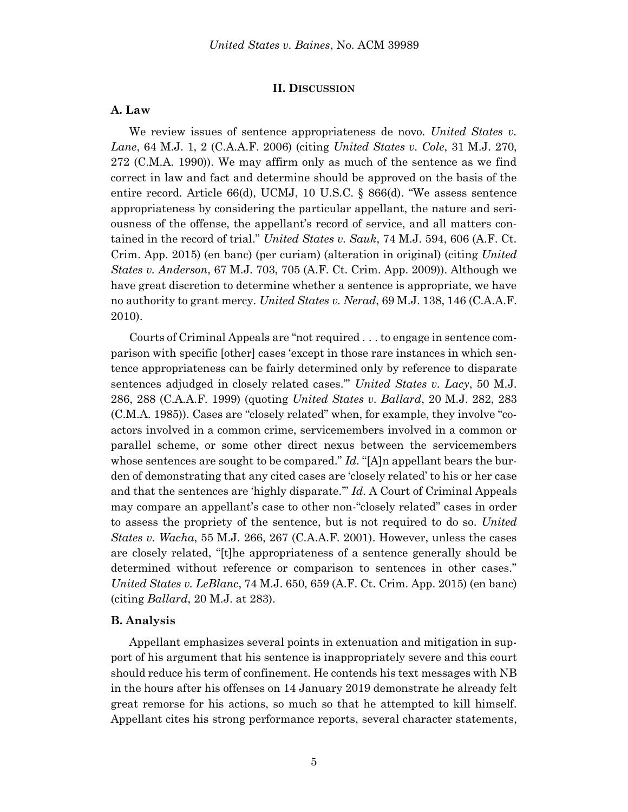#### **II. DISCUSSION**

#### **A. Law**

We review issues of sentence appropriateness de novo. *United States v. Lane*, 64 M.J. 1, 2 (C.A.A.F. 2006) (citing *United States v. Cole*, 31 M.J. 270, 272 (C.M.A. 1990)). We may affirm only as much of the sentence as we find correct in law and fact and determine should be approved on the basis of the entire record. Article 66(d), UCMJ, 10 U.S.C. § 866(d). "We assess sentence appropriateness by considering the particular appellant, the nature and seriousness of the offense, the appellant's record of service, and all matters contained in the record of trial." *United States v. Sauk*, 74 M.J. 594, 606 (A.F. Ct. Crim. App. 2015) (en banc) (per curiam) (alteration in original) (citing *United States v. Anderson*, 67 M.J. 703, 705 (A.F. Ct. Crim. App. 2009)). Although we have great discretion to determine whether a sentence is appropriate, we have no authority to grant mercy. *United States v. Nerad*, 69 M.J. 138, 146 (C.A.A.F. 2010).

Courts of Criminal Appeals are "not required . . . to engage in sentence comparison with specific [other] cases 'except in those rare instances in which sentence appropriateness can be fairly determined only by reference to disparate sentences adjudged in closely related cases.'" *United States v. Lacy*, 50 M.J. 286, 288 (C.A.A.F. 1999) (quoting *United States v. Ballard*, 20 M.J. 282, 283 (C.M.A. 1985)). Cases are "closely related" when, for example, they involve "coactors involved in a common crime, servicemembers involved in a common or parallel scheme, or some other direct nexus between the servicemembers whose sentences are sought to be compared." *Id*. "[A]n appellant bears the burden of demonstrating that any cited cases are 'closely related' to his or her case and that the sentences are 'highly disparate.'" *Id*. A Court of Criminal Appeals may compare an appellant's case to other non-"closely related" cases in order to assess the propriety of the sentence, but is not required to do so. *United States v. Wacha*, 55 M.J. 266, 267 (C.A.A.F. 2001). However, unless the cases are closely related, "[t]he appropriateness of a sentence generally should be determined without reference or comparison to sentences in other cases." *United States v. LeBlanc*, 74 M.J. 650, 659 (A.F. Ct. Crim. App. 2015) (en banc) (citing *Ballard*, 20 M.J. at 283).

#### **B. Analysis**

Appellant emphasizes several points in extenuation and mitigation in support of his argument that his sentence is inappropriately severe and this court should reduce his term of confinement. He contends his text messages with NB in the hours after his offenses on 14 January 2019 demonstrate he already felt great remorse for his actions, so much so that he attempted to kill himself. Appellant cites his strong performance reports, several character statements,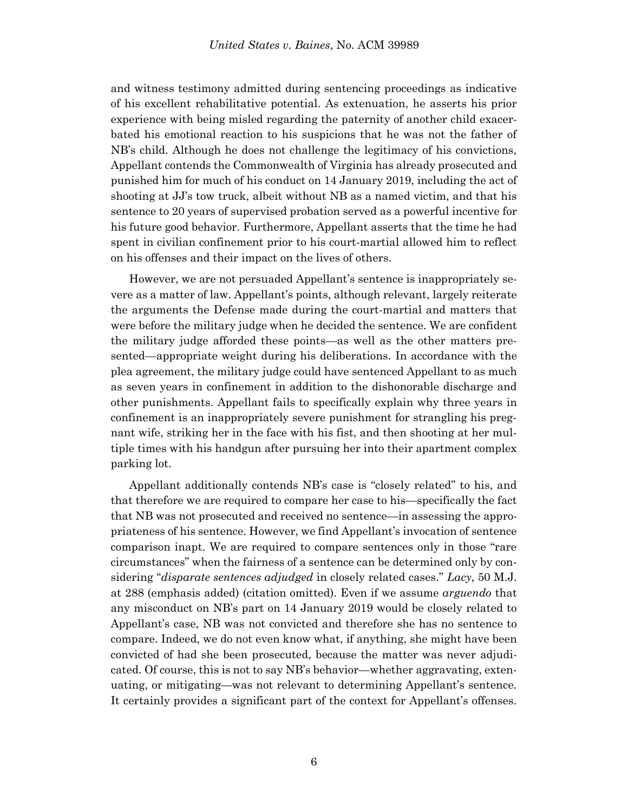and witness testimony admitted during sentencing proceedings as indicative of his excellent rehabilitative potential. As extenuation, he asserts his prior experience with being misled regarding the paternity of another child exacerbated his emotional reaction to his suspicions that he was not the father of NB's child. Although he does not challenge the legitimacy of his convictions, Appellant contends the Commonwealth of Virginia has already prosecuted and punished him for much of his conduct on 14 January 2019, including the act of shooting at JJ's tow truck, albeit without NB as a named victim, and that his sentence to 20 years of supervised probation served as a powerful incentive for his future good behavior. Furthermore, Appellant asserts that the time he had spent in civilian confinement prior to his court-martial allowed him to reflect on his offenses and their impact on the lives of others.

However, we are not persuaded Appellant's sentence is inappropriately severe as a matter of law. Appellant's points, although relevant, largely reiterate the arguments the Defense made during the court-martial and matters that were before the military judge when he decided the sentence. We are confident the military judge afforded these points—as well as the other matters presented—appropriate weight during his deliberations. In accordance with the plea agreement, the military judge could have sentenced Appellant to as much as seven years in confinement in addition to the dishonorable discharge and other punishments. Appellant fails to specifically explain why three years in confinement is an inappropriately severe punishment for strangling his pregnant wife, striking her in the face with his fist, and then shooting at her multiple times with his handgun after pursuing her into their apartment complex parking lot.

Appellant additionally contends NB's case is "closely related" to his, and that therefore we are required to compare her case to his—specifically the fact that NB was not prosecuted and received no sentence—in assessing the appropriateness of his sentence. However, we find Appellant's invocation of sentence comparison inapt. We are required to compare sentences only in those "rare circumstances" when the fairness of a sentence can be determined only by considering "*disparate sentences adjudged* in closely related cases." *Lacy*, 50 M.J. at 288 (emphasis added) (citation omitted). Even if we assume *arguendo* that any misconduct on NB's part on 14 January 2019 would be closely related to Appellant's case, NB was not convicted and therefore she has no sentence to compare. Indeed, we do not even know what, if anything, she might have been convicted of had she been prosecuted, because the matter was never adjudicated. Of course, this is not to say NB's behavior—whether aggravating, extenuating, or mitigating—was not relevant to determining Appellant's sentence. It certainly provides a significant part of the context for Appellant's offenses.